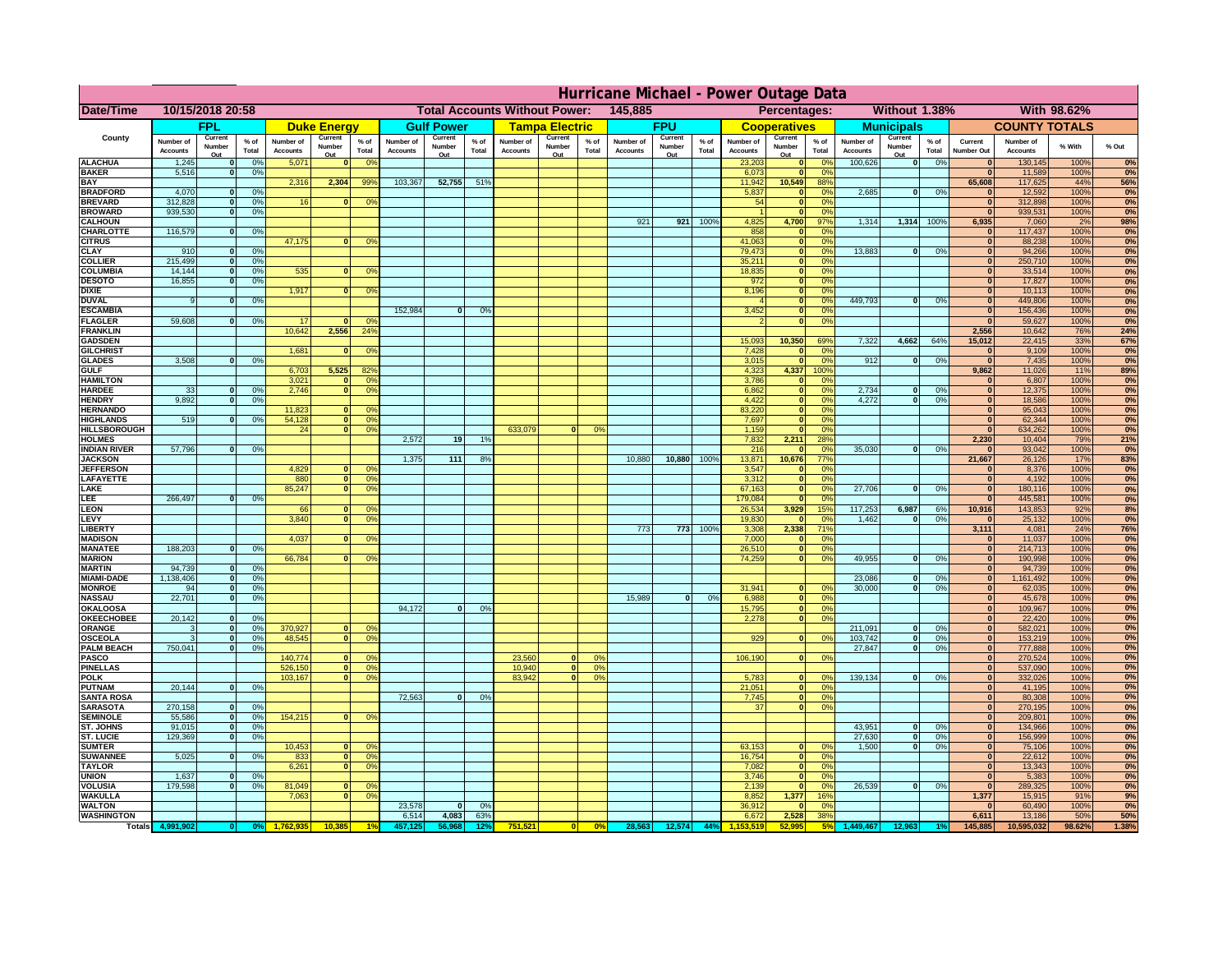|                                       | Hurricane Michael - Power Outage Data |                              |                                  |                              |                     |                                                 |                              |                       |                 |                              |                       |                                              |                       |                   |                 |                              |                                         |                                  |                              |                                |                 |                              |                              |              |                   |
|---------------------------------------|---------------------------------------|------------------------------|----------------------------------|------------------------------|---------------------|-------------------------------------------------|------------------------------|-----------------------|-----------------|------------------------------|-----------------------|----------------------------------------------|-----------------------|-------------------|-----------------|------------------------------|-----------------------------------------|----------------------------------|------------------------------|--------------------------------|-----------------|------------------------------|------------------------------|--------------|-------------------|
| Date/Time                             | 10/15/2018 20:58                      |                              |                                  |                              |                     | 145,885<br><b>Total Accounts Without Power:</b> |                              |                       |                 |                              |                       | Without 1.38%<br>With 98.62%<br>Percentages: |                       |                   |                 |                              |                                         |                                  |                              |                                |                 |                              |                              |              |                   |
|                                       |                                       | FPL                          |                                  |                              | <b>Duke Energy</b>  |                                                 |                              | <b>Gulf Power</b>     |                 |                              | <b>Tampa Electric</b> |                                              |                       | <b>FPU</b>        |                 |                              | <b>Cooperatives</b>                     |                                  |                              | <b>Municipals</b>              |                 |                              | <b>COUNTY TOTALS</b>         |              |                   |
| County                                | Number of<br><b>Accounts</b>          | Current<br>Number            | $%$ of<br>Total                  | Number of<br><b>Accounts</b> | Current<br>Number   | $%$ of<br>Total                                 | Number of<br><b>Accounts</b> | Current<br>Number     | $%$ of<br>Total | Number of<br><b>Accounts</b> | Current<br>Number     | $%$ of<br>Total                              | Number of<br>Accounts | Current<br>Number | $%$ of<br>Total | Number of<br><b>Accounts</b> | Current<br>Number                       | $%$ of<br>Total                  | Number of<br><b>Accounts</b> | Current<br>Number              | $%$ of<br>Total | Current<br><b>Number Out</b> | Number of<br><b>Accounts</b> | % With       | % Out             |
| <b>ALACHUA</b>                        | 1,245                                 | Out<br>$\mathbf{0}$          | 0%                               | 5,071                        | Out<br>$\mathbf{0}$ | 0 <sup>9</sup>                                  |                              | Out                   |                 |                              | Out                   |                                              |                       | Out               |                 | 23,203                       | Out<br>$\mathbf{0}$                     | $\Omega$ <sup>c</sup>            | 100,626                      | Out<br>$\overline{\mathbf{0}}$ | 0%              | $\bf{0}$                     | 130,145                      | 100%         | 0%                |
| <b>BAKER</b>                          | 5,516                                 | $\mathbf{0}$                 | 0%                               |                              |                     |                                                 |                              |                       |                 |                              |                       |                                              |                       |                   |                 | 6,073                        | $\mathbf{0}$                            | 0 <sup>9</sup>                   |                              |                                |                 | $\bf{0}$                     | 11,589                       | 100%         | 0%                |
| <b>BAY</b><br><b>BRADFORD</b>         | 4,070                                 | $\mathbf{0}$                 | 0%                               | 2,316                        | 2,304               | 99%                                             | 103,367                      | 52,755                | 51%             |                              |                       |                                              |                       |                   |                 | 11,942<br>5,837              | 10,549<br>$\mathbf{0}$                  | 88%<br>0 <sup>9</sup>            | 2,685                        | 0                              | 0%              | 65,608<br>$\bf{0}$           | 117,625<br>12,592            | 44%<br>100%  | 56%<br>0%         |
| <b>BREVARD</b>                        | 312,828                               | $\mathbf{0}$                 | 0%                               | 16                           | $\mathbf{0}$        | 0 <sup>o</sup>                                  |                              |                       |                 |                              |                       |                                              |                       |                   |                 | 54                           | $\mathbf{0}$                            | 0 <sup>9</sup>                   |                              |                                |                 | $\bf{0}$                     | 312,898                      | 100%         | 0%                |
| <b>BROWARD</b>                        | 939.530                               | $\Omega$                     | 0%                               |                              |                     |                                                 |                              |                       |                 |                              |                       |                                              |                       |                   |                 |                              | $\mathbf{0}$                            | 0 <sup>9</sup>                   |                              |                                |                 | $\bf{0}$                     | 939,531                      | 100%         | 0%                |
| <b>CALHOUN</b><br>CHARLOTTE           | 116,579                               | $\mathbf{0}$                 | 0%                               |                              |                     |                                                 |                              |                       |                 |                              |                       |                                              | 921                   | 921               | 100%            | 4,825<br>858                 | 4,700                                   | 97%<br>0%                        | 1,314                        | 1,314                          | 100%            | 6,935<br>$\bf{0}$            | 7,060<br>117,437             | 2%<br>100%   | 98%<br>0%         |
| <b>CITRUS</b>                         |                                       |                              |                                  | 47,175                       | $\mathbf{0}$        | 0 <sup>o</sup>                                  |                              |                       |                 |                              |                       |                                              |                       |                   |                 | 41,063                       | $\mathbf{0}$                            | $\Omega$ <sup>c</sup>            |                              |                                |                 | $\bf{0}$                     | 88,238                       | 100%         | 0%                |
| <b>CLAY</b>                           | 910                                   | $\mathbf{0}$                 | 0%                               |                              |                     |                                                 |                              |                       |                 |                              |                       |                                              |                       |                   |                 | 79,473                       | $\mathbf{0}$                            | 0 <sup>9</sup>                   | 13,883                       | 0                              | 0%              | $\mathbf{0}$                 | 94,266                       | 100%         | 0%                |
| <b>COLLIER</b><br><b>COLUMBIA</b>     | 215,499<br>14,144                     | $\mathbf{0}$<br>$\mathbf{0}$ | 0 <sup>9</sup><br>0 <sup>9</sup> | 535                          | $\bf{0}$            | 0 <sup>9</sup>                                  |                              |                       |                 |                              |                       |                                              |                       |                   |                 | 35,211<br>18,835             | $\mathbf{0}$<br>$\mathbf{0}$            | 0 <sup>9</sup><br>0 <sup>9</sup> |                              |                                |                 | $\mathbf{0}$<br>$\bf{0}$     | 250,710<br>33,514            | 100%<br>100% | 0%<br>0%          |
| <b>DESOTO</b>                         | 16,855                                | $\mathbf{0}$                 | 0%                               |                              |                     |                                                 |                              |                       |                 |                              |                       |                                              |                       |                   |                 | 972                          | $\mathbf{0}$                            | 0 <sup>9</sup>                   |                              |                                |                 | $\bf{0}$                     | 17,827                       | 100%         | 0%                |
| <b>DIXIE</b><br><b>DUVAL</b>          | 9                                     | $\Omega$                     | 0%                               | 1,917                        | $\Omega$            | 0 <sup>9</sup>                                  |                              |                       |                 |                              |                       |                                              |                       |                   |                 | 8,196                        | $\mathbf{0}$<br>$\mathbf{0}$            | 0 <sup>9</sup><br>0 <sup>9</sup> | 449.793                      | $\mathbf{0}$                   | 0%              | $\bf{0}$<br>$\bf{0}$         | 10,113<br>449,806            | 100%<br>100% | 0%<br>0%          |
| <b>ESCAMBIA</b>                       |                                       |                              |                                  |                              |                     |                                                 | 152,984                      | $\Omega$              | 0%              |                              |                       |                                              |                       |                   |                 | 3,452                        | $\mathbf{0}$                            | 0%                               |                              |                                |                 | $\mathbf{0}$                 | 156,436                      | 100%         | 0%                |
| <b>FLAGLER</b>                        | 59,608                                | $\mathbf{o}$                 | 0%                               | 17                           |                     | 0°                                              |                              |                       |                 |                              |                       |                                              |                       |                   |                 |                              | $\mathbf{0}$                            | 0%                               |                              |                                |                 | $\sqrt{2}$                   | 59,627                       | 100%         | 0%                |
| <b>FRANKLIN</b><br><b>GADSDEN</b>     |                                       |                              |                                  | 10,642                       | 2,556               | 24 <sup>°</sup>                                 |                              |                       |                 |                              |                       |                                              |                       |                   |                 | 15,093                       | 10,350                                  | 69%                              | 7,322                        | 4,662                          | 64%             | 2,556<br>15,012              | 10,642<br>22,415             | 76%<br>33%   | 24%<br><b>67%</b> |
| <b>GILCHRIST</b>                      |                                       |                              |                                  | 1,681                        | $\mathbf{0}$        | 0 <sup>9</sup>                                  |                              |                       |                 |                              |                       |                                              |                       |                   |                 | 7,428                        | $\mathbf{0}$                            | 0%                               |                              |                                |                 | $\mathbf{0}$                 | 9,109                        | 100%         | 0%                |
| <b>GLADES</b>                         | 3,508                                 | nl                           | 0%                               |                              |                     |                                                 |                              |                       |                 |                              |                       |                                              |                       |                   |                 | 3,015                        | $\Omega$                                | 0 <sup>9</sup>                   | 912                          | $\mathbf{0}$                   | 0%              | $\overline{0}$               | 7,435                        | 100%         | 0%                |
| <b>GULF</b><br><b>HAMILTON</b>        |                                       |                              |                                  | 6,703<br>3,021               | 5,525<br>$\Omega$   | 82%<br>0 <sup>9</sup>                           |                              |                       |                 |                              |                       |                                              |                       |                   |                 | 4,323<br>3,786               | 4,337<br>$\Omega$                       | 100%<br>0 <sup>9</sup>           |                              |                                |                 | 9,862<br>$\bf{0}$            | 11,026<br>6,807              | 11%<br>100%  | 89%<br>0%         |
| <b>HARDEE</b>                         | 33                                    | $\mathbf{0}$                 | 0%                               | 2.746                        | $\Omega$            | 0 <sup>9</sup>                                  |                              |                       |                 |                              |                       |                                              |                       |                   |                 | 6.862                        | $\mathbf{0}$                            | 0%                               | 2.734                        | $\mathbf{0}$                   | 0%              | $\mathbf{0}$                 | 12,375                       | 100%         | 0%                |
| <b>HENDRY</b>                         | 9.892                                 | 0I                           | 0%                               |                              |                     |                                                 |                              |                       |                 |                              |                       |                                              |                       |                   |                 | 4.422                        | $\overline{0}$                          | 0%                               | 4.272                        | $\overline{0}$                 | 0%              | $\mathbf{0}$                 | 18,586                       | 100%         | 0%                |
| <b>HERNANDO</b><br><b>HIGHLANDS</b>   | 519                                   |                              | 0%                               | 11,823<br>54,128             | 0                   | 0 <sup>9</sup><br>0 <sup>9</sup>                |                              |                       |                 |                              |                       |                                              |                       |                   |                 | 83,220<br>7,697              | $\overline{\mathbf{0}}$<br>$\mathbf{0}$ | 0%<br>0%                         |                              |                                |                 | $\mathbf{0}$<br>$\mathbf{0}$ | 95,043<br>62,344             | 100%<br>100% | 0%<br>0%          |
| <b>HILLSBOROUGH</b>                   |                                       |                              |                                  | 24                           |                     | $\overline{0}$<br>0%                            |                              |                       |                 | 633,079                      |                       | 0%                                           |                       |                   |                 | 1,159                        | $\mathbf{0}$                            | 0 <sup>9</sup>                   |                              |                                |                 | $\bf{0}$                     | 634,262                      | 100%         | 0%                |
| <b>HOLMES</b>                         |                                       |                              |                                  |                              |                     |                                                 | 2,572                        | 19                    | 1 <sup>9</sup>  |                              |                       |                                              |                       |                   |                 | 7,832                        | 2,211                                   | 28%                              |                              |                                |                 | 2,230                        | 10,404                       | 79%          | 21%               |
| <b>INDIAN RIVER</b><br><b>JACKSON</b> | 57,796                                | 0                            | 0%                               |                              |                     |                                                 | 1.375                        | 111                   | 8%              |                              |                       |                                              | 10,880                | 10,880            | 100%            | 216<br>13,871                | 10,676                                  | 0 <sup>9</sup><br>77%            | 35,030                       | $\mathbf{0}$                   | 0%              | $\mathbf{0}$<br>21,667       | 93,042<br>26,126             | 100%<br>17%  | 0%<br>83%         |
| <b>JEFFERSOI</b>                      |                                       |                              |                                  | 4,829                        | n.                  | O <sup>9</sup>                                  |                              |                       |                 |                              |                       |                                              |                       |                   |                 | 3,547                        |                                         | 0 <sup>9</sup>                   |                              |                                |                 | $\bf{0}$                     | 8,376                        | 100%         | 0%                |
| <b>LAFAYETTE</b>                      |                                       |                              |                                  | 880                          |                     | $\overline{0}$<br>0 <sup>9</sup>                |                              |                       |                 |                              |                       |                                              |                       |                   |                 | 3,312                        | $\mathbf{0}$                            | 0%                               |                              |                                |                 | $\mathbf{0}$                 | 4,192                        | 100%         | 0%                |
| LAKE<br>LEE                           | 266,497                               | nl                           | 0%                               | 85,247                       | $\overline{0}$      | 0 <sup>9</sup>                                  |                              |                       |                 |                              |                       |                                              |                       |                   |                 | 67,163<br>179,084            | $\mathbf{0}$<br>$\Omega$                | 0 <sup>9</sup><br>0%             | 27,706                       | $\overline{0}$                 | 0%              | $\mathbf{0}$<br>$\mathbf{0}$ | 180,116<br>445,581           | 100%<br>100% | 0%<br>0%          |
| LEON                                  |                                       |                              |                                  | 66                           |                     | 0 <sup>o</sup>                                  |                              |                       |                 |                              |                       |                                              |                       |                   |                 | 26,534                       | 3,929                                   | 15%                              | 117,253                      | 6,987                          | 6%              | 10,916                       | 143,853                      | 92%          | 8%                |
| LEVY                                  |                                       |                              |                                  | 3,840                        | $\Omega$            | 0 <sup>9</sup>                                  |                              |                       |                 |                              |                       |                                              |                       |                   |                 | 19,830                       |                                         | 0 <sup>9</sup>                   | 1,462                        | $\mathbf{0}$                   | 0%              | $\mathbf{0}$                 | 25,132                       | 100%         | 0%                |
| LIBERTY<br><b>MADISON</b>             |                                       |                              |                                  | 4,037                        |                     | 0 <sup>9</sup>                                  |                              |                       |                 |                              |                       |                                              | 773                   | 773               | 100%            | 3,308<br>7,000               | 2,338                                   | 71%<br>0%                        |                              |                                |                 | 3,111<br>$\mathbf{0}$        | 4,081<br>11,037              | 24%<br>100%  | <b>76%</b><br>0%  |
| <b>MANATEE</b>                        | 188,203                               | $\mathbf{0}$                 | 0%                               |                              |                     |                                                 |                              |                       |                 |                              |                       |                                              |                       |                   |                 | 26,510                       |                                         | 0%                               |                              |                                |                 | 0                            | 214,713                      | 100%         | 0%                |
| <b>MARION</b>                         |                                       |                              |                                  | 66,784                       |                     | 0°                                              |                              |                       |                 |                              |                       |                                              |                       |                   |                 | 74,259                       | $\Omega$                                | 0%                               | 49,955                       | $\mathbf{0}$                   | 0%              | 0                            | 190,998                      | 100%         | 0%                |
| <b>MARTIN</b><br><b>MIAMI-DADE</b>    | 94,739<br>1,138,406                   | 0 <br> 0                     | 0%<br>0%                         |                              |                     |                                                 |                              |                       |                 |                              |                       |                                              |                       |                   |                 |                              |                                         |                                  | 23,086                       | $\Omega$                       | 0%              | 0                            | 94,739                       | 100%         | 0%<br>0%          |
| <b>MONROE</b>                         | 94                                    | 0                            | 0%                               |                              |                     |                                                 |                              |                       |                 |                              |                       |                                              |                       |                   |                 | 31,941                       |                                         | 0 <sup>o</sup>                   | 30,000                       | $\Omega$                       | 0%              | 0 <br>$\mathbf{0}$           | 1,161,492<br>62,035          | 100%<br>100% | 0%                |
| <b>NASSAU</b>                         | 22,701                                | 0                            | 0%                               |                              |                     |                                                 |                              |                       |                 |                              |                       |                                              | 15,989                | 0                 | 0%              | 6,988                        | $\mathbf{0}$                            | 0 <sup>9</sup>                   |                              |                                |                 | $\mathbf{0}$                 | 45,678                       | 100%         | 0%                |
| OKALOOS/<br><b>OKEECHOBEE</b>         | 20,142                                |                              | 0%                               |                              |                     |                                                 | 94,172                       | $\mathbf{0}$          | 0%              |                              |                       |                                              |                       |                   |                 | 15,795                       | 0                                       | 0%<br>0%                         |                              |                                |                 | $\mathbf{0}$<br>$\mathbf{0}$ | 109,967                      | 100%         | 0%<br>0%          |
| ORANGE                                | 3                                     | 0 <br> 0                     | 0%                               | 370,927                      | $\mathbf{0}$        | 0 <sup>o</sup>                                  |                              |                       |                 |                              |                       |                                              |                       |                   |                 | 2,278                        | 0                                       |                                  | 211,091                      | 0                              | 0%              | $\mathbf{0}$                 | 22,420<br>582,021            | 100%<br>100% | 0%                |
| <b>OSCEOLA</b>                        | 3                                     | 0                            | 0%                               | 48,545                       | $\Omega$            | 0 <sup>9</sup>                                  |                              |                       |                 |                              |                       |                                              |                       |                   |                 | 929                          | $\Omega$                                | 0 <sup>9</sup>                   | 103,742                      | 0                              | 0%              | 0                            | 153,219                      | 100%         | 0%                |
| <b>PALM BEACH</b><br><b>PASCO</b>     | 750,041                               |                              | 0%<br> 0                         | 140,774                      | $\mathbf{0}$        | 0 <sup>9</sup>                                  |                              |                       |                 | 23,560                       | $\Omega$              | 0 <sup>9</sup>                               |                       |                   |                 | 106,190                      | 0                                       | 0 <sup>9</sup>                   | 27,847                       | $\mathbf{0}$                   | 0%              | $\mathbf{0}$<br>$\mathbf{0}$ | 777,888<br>270,524           | 100%<br>100% | 0%                |
| <b>PINELLAS</b>                       |                                       |                              |                                  | 526,150                      | $\Omega$            | 0 <sup>9</sup>                                  |                              |                       |                 | 10,940                       | 0                     | 0%                                           |                       |                   |                 |                              |                                         |                                  |                              |                                |                 | $\mathbf{0}$                 | 537,090                      | 100%         | 0%<br>0%          |
| <b>POLK</b>                           |                                       |                              |                                  | 103,167                      | 0                   | 0 <sup>9</sup>                                  |                              |                       |                 | 83,942                       | 0                     | 0%                                           |                       |                   |                 | 5,783                        | $\Omega$                                | no                               | 139,134                      | 0                              | 0%              | $\mathbf{0}$                 | 332,026                      | 100%         | 0%                |
| <b>PUTNAM</b><br><b>SANTA ROSA</b>    | 20,144                                | 0                            | 0%                               |                              |                     |                                                 | 72,563                       | 0                     | 0%              |                              |                       |                                              |                       |                   |                 | 21,051<br>7,745              | $\mathbf{0}$<br> 0                      | 0 <sup>9</sup><br>0%             |                              |                                |                 | $\mathbf{0}$<br>$\mathbf{0}$ | 41,195<br>80,308             | 100%<br>100% | 0%                |
| <b>SARASOTA</b>                       | 270,158                               | 0                            | 0%                               |                              |                     |                                                 |                              |                       |                 |                              |                       |                                              |                       |                   |                 | 37                           | $\overline{0}$                          | 0%                               |                              |                                |                 | $\mathbf{0}$                 | 270,195                      | 100%         | 0%<br>0%          |
| <b>SEMINOLE</b>                       | 55,586                                | 0                            | 0%                               | 154,215                      |                     | $\mathbf{0}$<br>0 <sup>9</sup>                  |                              |                       |                 |                              |                       |                                              |                       |                   |                 |                              |                                         |                                  |                              |                                |                 | $\mathbf{0}$                 | 209,801                      | 100%         | 0%                |
| <b>ST. JOHNS</b><br><b>ST. LUCIE</b>  | 91,015<br>129.369                     | 0<br>$\mathbf{0}$            | 0%<br>0%                         |                              |                     |                                                 |                              |                       |                 |                              |                       |                                              |                       |                   |                 |                              |                                         |                                  | 43,951<br>27,630             | 0 <br>$\mathbf{0}$             | 0%<br>0%        | $\mathbf{0}$<br> 0           | 134,966<br>156.999           | 100%<br>100% | 0%<br>0%          |
| <b>SUMTER</b>                         |                                       |                              |                                  | 10,453                       |                     | $\mathbf{0}$<br>0 <sup>9</sup>                  |                              |                       |                 |                              |                       |                                              |                       |                   |                 | 63,153                       | $\mathbf{0}$                            | 0 <sup>o</sup>                   | 1.500                        | $\overline{0}$                 | 0%              | $\mathbf{0}$                 | 75,106                       | 100%         | 0%                |
| <b>SUWANNEE</b>                       | 5,025                                 | $\Omega$                     | 0%                               | 833                          | 0                   | 0 <sup>9</sup>                                  |                              |                       |                 |                              |                       |                                              |                       |                   |                 | 16,754                       | $\mathbf{0}$                            | 0 <sup>9</sup>                   |                              |                                |                 | $\mathbf{0}$                 | 22,612                       | 100%         | 0%                |
| <b>TAYLOR</b>                         |                                       | $\mathbf{0}$                 |                                  | 6,261                        | 0                   | 0 <sup>9</sup>                                  |                              |                       |                 |                              |                       |                                              |                       |                   |                 | 7,082                        | $\mathbf{0}$<br>$\mathbf{0}$            | 0%                               |                              |                                |                 | $\mathbf{0}$                 | 13,343                       | 100%         | 0%                |
| <b>UNION</b><br><b>VOLUSIA</b>        | 1,637<br>179,598                      | $\mathbf{0}$                 | 0%<br>0%                         | 81,049                       | $\bf{0}$            | 0 <sup>9</sup>                                  |                              |                       |                 |                              |                       |                                              |                       |                   |                 | 3,746<br>2,139               | $\mathbf{0}$                            | 0 <sup>9</sup><br>0 <sup>9</sup> | 26,539                       | 0                              | 0%              | $\mathbf{0}$<br>$\mathbf{0}$ | 5,383<br>289,325             | 100%<br>100% | 0%<br>0%          |
| <b>WAKULLA</b>                        |                                       |                              |                                  | 7,063                        | $\bf{0}$            | 0 <sup>9</sup>                                  |                              |                       |                 |                              |                       |                                              |                       |                   |                 | 8,852                        | 1,377                                   | 16%                              |                              |                                |                 | 1,377                        | 15,915                       | 91%          | 9%                |
| <b>WALTON</b><br><b>WASHINGTON</b>    |                                       |                              |                                  |                              |                     |                                                 | 23,578<br>6,514              | $\mathbf{0}$<br>4,083 | 0%<br>63%       |                              |                       |                                              |                       |                   |                 | 36,912<br>6,672              | 2,528                                   | 0 <sup>9</sup><br>38%            |                              |                                |                 | $\bf{0}$<br>6,611            | 60,490<br>13,186             | 100%<br>50%  | 0%<br>50%         |
| <b>Totals</b>                         |                                       |                              |                                  |                              |                     |                                                 |                              |                       |                 | 751,521                      |                       | 0%                                           | 28,563                | 12,574            | 44%             |                              |                                         |                                  |                              |                                |                 | 145,885                      | 10,595,032                   | 98.62%       | 1.38%             |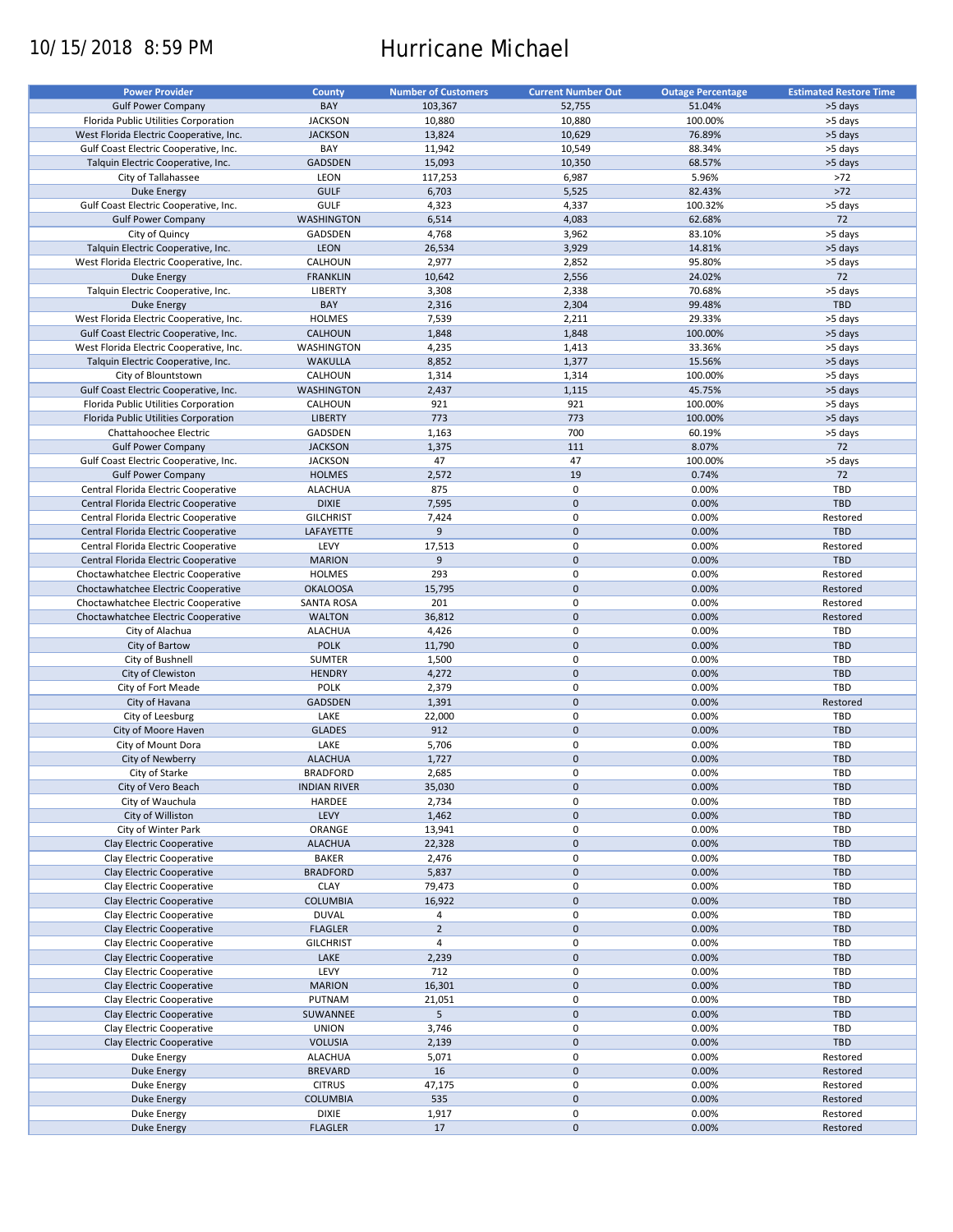# 10/15/2018 8:59 PM Hurricane Michael

| <b>Power Provider</b>                   | <b>County</b>       | <b>Number of Customers</b> | <b>Current Number Out</b> | <b>Outage Percentage</b> | <b>Estimated Restore Time</b> |
|-----------------------------------------|---------------------|----------------------------|---------------------------|--------------------------|-------------------------------|
|                                         |                     |                            |                           |                          |                               |
| <b>Gulf Power Company</b>               | BAY                 | 103,367                    | 52,755                    | 51.04%                   | >5 days                       |
| Florida Public Utilities Corporation    | <b>JACKSON</b>      | 10,880                     | 10,880                    | 100.00%                  | >5 days                       |
| West Florida Electric Cooperative, Inc. | <b>JACKSON</b>      | 13,824                     | 10,629                    | 76.89%                   | >5 days                       |
| Gulf Coast Electric Cooperative, Inc.   | BAY                 | 11,942                     | 10,549                    | 88.34%                   | >5 days                       |
| Talquin Electric Cooperative, Inc.      | GADSDEN             | 15,093                     | 10,350                    | 68.57%                   | >5 days                       |
| City of Tallahassee                     | LEON                | 117,253                    | 6,987                     | 5.96%                    | >72                           |
| <b>Duke Energy</b>                      | <b>GULF</b>         | 6,703                      | 5,525                     | 82.43%                   | $>72$                         |
|                                         | GULF                |                            |                           | 100.32%                  |                               |
| Gulf Coast Electric Cooperative, Inc.   |                     | 4,323                      | 4,337                     |                          | >5 days                       |
| <b>Gulf Power Company</b>               | WASHINGTON          | 6,514                      | 4,083                     | 62.68%                   | 72                            |
| City of Quincy                          | GADSDEN             | 4,768                      | 3,962                     | 83.10%                   | >5 days                       |
| Talquin Electric Cooperative, Inc.      | <b>LEON</b>         | 26,534                     | 3,929                     | 14.81%                   | >5 days                       |
| West Florida Electric Cooperative, Inc. | CALHOUN             | 2,977                      | 2,852                     | 95.80%                   | >5 days                       |
| Duke Energy                             | <b>FRANKLIN</b>     | 10,642                     | 2,556                     | 24.02%                   | 72                            |
| Talquin Electric Cooperative, Inc.      | <b>LIBERTY</b>      | 3,308                      | 2,338                     | 70.68%                   | >5 days                       |
| <b>Duke Energy</b>                      | BAY                 | 2,316                      | 2,304                     | 99.48%                   | <b>TBD</b>                    |
|                                         |                     |                            |                           |                          |                               |
| West Florida Electric Cooperative, Inc. | <b>HOLMES</b>       | 7,539                      | 2,211                     | 29.33%                   | >5 days                       |
| Gulf Coast Electric Cooperative, Inc.   | CALHOUN             | 1,848                      | 1,848                     | 100.00%                  | >5 days                       |
| West Florida Electric Cooperative, Inc. | WASHINGTON          | 4,235                      | 1,413                     | 33.36%                   | >5 days                       |
| Talquin Electric Cooperative, Inc.      | <b>WAKULLA</b>      | 8,852                      | 1,377                     | 15.56%                   | >5 days                       |
| City of Blountstown                     | CALHOUN             | 1,314                      | 1,314                     | 100.00%                  | >5 days                       |
| Gulf Coast Electric Cooperative, Inc.   | <b>WASHINGTON</b>   | 2,437                      | 1,115                     | 45.75%                   | >5 days                       |
| Florida Public Utilities Corporation    | CALHOUN             | 921                        | 921                       | 100.00%                  | >5 days                       |
|                                         |                     |                            |                           |                          |                               |
| Florida Public Utilities Corporation    | <b>LIBERTY</b>      | 773                        | 773                       | 100.00%                  | >5 days                       |
| Chattahoochee Electric                  | GADSDEN             | 1,163                      | 700                       | 60.19%                   | >5 days                       |
| <b>Gulf Power Company</b>               | <b>JACKSON</b>      | 1,375                      | 111                       | 8.07%                    | 72                            |
| Gulf Coast Electric Cooperative, Inc.   | <b>JACKSON</b>      | 47                         | 47                        | 100.00%                  | >5 days                       |
| <b>Gulf Power Company</b>               | <b>HOLMES</b>       | 2,572                      | 19                        | 0.74%                    | 72                            |
| Central Florida Electric Cooperative    | <b>ALACHUA</b>      | 875                        | 0                         | 0.00%                    | TBD                           |
|                                         | <b>DIXIE</b>        | 7,595                      | $\mathbf 0$               | 0.00%                    | <b>TBD</b>                    |
| Central Florida Electric Cooperative    |                     |                            |                           |                          |                               |
| Central Florida Electric Cooperative    | <b>GILCHRIST</b>    | 7,424                      | $\pmb{0}$                 | 0.00%                    | Restored                      |
| Central Florida Electric Cooperative    | LAFAYETTE           | 9                          | $\mathbf 0$               | 0.00%                    | <b>TBD</b>                    |
| Central Florida Electric Cooperative    | LEVY                | 17,513                     | $\pmb{0}$                 | 0.00%                    | Restored                      |
| Central Florida Electric Cooperative    | <b>MARION</b>       | 9                          | $\mathbf 0$               | 0.00%                    | <b>TBD</b>                    |
| Choctawhatchee Electric Cooperative     | <b>HOLMES</b>       | 293                        | $\pmb{0}$                 | 0.00%                    | Restored                      |
| Choctawhatchee Electric Cooperative     | <b>OKALOOSA</b>     | 15,795                     | $\mathbf 0$               | 0.00%                    | Restored                      |
| Choctawhatchee Electric Cooperative     | <b>SANTA ROSA</b>   | 201                        | 0                         | 0.00%                    | Restored                      |
|                                         |                     |                            | $\mathbf 0$               |                          |                               |
| Choctawhatchee Electric Cooperative     | <b>WALTON</b>       | 36,812                     |                           | 0.00%                    | Restored                      |
| City of Alachua                         | <b>ALACHUA</b>      | 4,426                      | 0                         | 0.00%                    | TBD                           |
| City of Bartow                          | <b>POLK</b>         | 11,790                     | $\mathbf 0$               | 0.00%                    | <b>TBD</b>                    |
| City of Bushnell                        | <b>SUMTER</b>       | 1,500                      | 0                         | 0.00%                    | TBD                           |
| City of Clewiston                       | <b>HENDRY</b>       | 4,272                      | $\mathbf 0$               | 0.00%                    | TBD                           |
| City of Fort Meade                      | <b>POLK</b>         | 2,379                      | $\pmb{0}$                 | 0.00%                    | TBD                           |
| City of Havana                          | <b>GADSDEN</b>      | 1,391                      | $\mathbf 0$               | 0.00%                    | Restored                      |
| City of Leesburg                        |                     |                            | $\pmb{0}$                 |                          | TBD                           |
|                                         | LAKE                | 22,000                     |                           | 0.00%                    |                               |
| City of Moore Haven                     | <b>GLADES</b>       | 912                        | $\mathbf 0$               | 0.00%                    | <b>TBD</b>                    |
| City of Mount Dora                      | LAKE                | 5,706                      | $\pmb{0}$                 | 0.00%                    | TBD                           |
| City of Newberry                        | <b>ALACHUA</b>      | 1,727                      | $\pmb{0}$                 | 0.00%                    | <b>TBD</b>                    |
| City of Starke                          | <b>BRADFORD</b>     | 2,685                      | $\mathbf 0$               | 0.00%                    | TBD                           |
| City of Vero Beach                      | <b>INDIAN RIVER</b> | 35,030                     | $\pmb{0}$                 | 0.00%                    | TBD                           |
| City of Wauchula                        | HARDEE              | 2,734                      | 0                         | 0.00%                    | TBD                           |
|                                         | LEVY                |                            | $\mathsf{O}\xspace$       | 0.00%                    | <b>TBD</b>                    |
| City of Williston                       |                     | 1,462                      |                           |                          |                               |
| City of Winter Park                     | ORANGE              | 13,941                     | 0                         | 0.00%                    | TBD                           |
| Clay Electric Cooperative               | <b>ALACHUA</b>      | 22,328                     | $\mathsf{O}\xspace$       | 0.00%                    | TBD                           |
| Clay Electric Cooperative               | BAKER               | 2,476                      | 0                         | 0.00%                    | TBD                           |
| Clay Electric Cooperative               | <b>BRADFORD</b>     | 5,837                      | $\mathsf{O}\xspace$       | 0.00%                    | TBD                           |
| Clay Electric Cooperative               | <b>CLAY</b>         | 79,473                     | 0                         | 0.00%                    | TBD                           |
| Clay Electric Cooperative               | <b>COLUMBIA</b>     | 16,922                     | $\mathsf{O}\xspace$       | 0.00%                    | <b>TBD</b>                    |
| Clay Electric Cooperative               | <b>DUVAL</b>        | 4                          | 0                         | 0.00%                    | TBD                           |
|                                         |                     |                            |                           |                          |                               |
| Clay Electric Cooperative               | <b>FLAGLER</b>      | $\overline{2}$             | $\pmb{0}$                 | 0.00%                    | <b>TBD</b>                    |
| Clay Electric Cooperative               | <b>GILCHRIST</b>    | 4                          | 0                         | 0.00%                    | TBD                           |
| Clay Electric Cooperative               | LAKE                | 2,239                      | $\pmb{0}$                 | 0.00%                    | <b>TBD</b>                    |
| Clay Electric Cooperative               | LEVY                | 712                        | 0                         | 0.00%                    | TBD                           |
| Clay Electric Cooperative               | <b>MARION</b>       | 16,301                     | $\pmb{0}$                 | 0.00%                    | <b>TBD</b>                    |
| Clay Electric Cooperative               | PUTNAM              | 21,051                     | 0                         | 0.00%                    | TBD                           |
|                                         |                     |                            |                           |                          |                               |
| Clay Electric Cooperative               | SUWANNEE            | 5                          | $\pmb{0}$                 | 0.00%                    | <b>TBD</b>                    |
| Clay Electric Cooperative               | <b>UNION</b>        | 3,746                      | $\pmb{0}$                 | 0.00%                    | TBD                           |
| Clay Electric Cooperative               | <b>VOLUSIA</b>      | 2,139                      | $\pmb{0}$                 | 0.00%                    | <b>TBD</b>                    |
| Duke Energy                             | <b>ALACHUA</b>      | 5,071                      | $\pmb{0}$                 | 0.00%                    | Restored                      |
| <b>Duke Energy</b>                      | <b>BREVARD</b>      | 16                         | $\pmb{0}$                 | 0.00%                    | Restored                      |
| Duke Energy                             | <b>CITRUS</b>       | 47,175                     | $\pmb{0}$                 | 0.00%                    | Restored                      |
| <b>Duke Energy</b>                      | <b>COLUMBIA</b>     | 535                        | $\pmb{0}$                 | 0.00%                    | Restored                      |
|                                         |                     |                            |                           |                          |                               |
| Duke Energy                             | <b>DIXIE</b>        | 1,917                      | 0                         | 0.00%                    | Restored                      |
| <b>Duke Energy</b>                      | <b>FLAGLER</b>      | 17                         | $\pmb{0}$                 | 0.00%                    | Restored                      |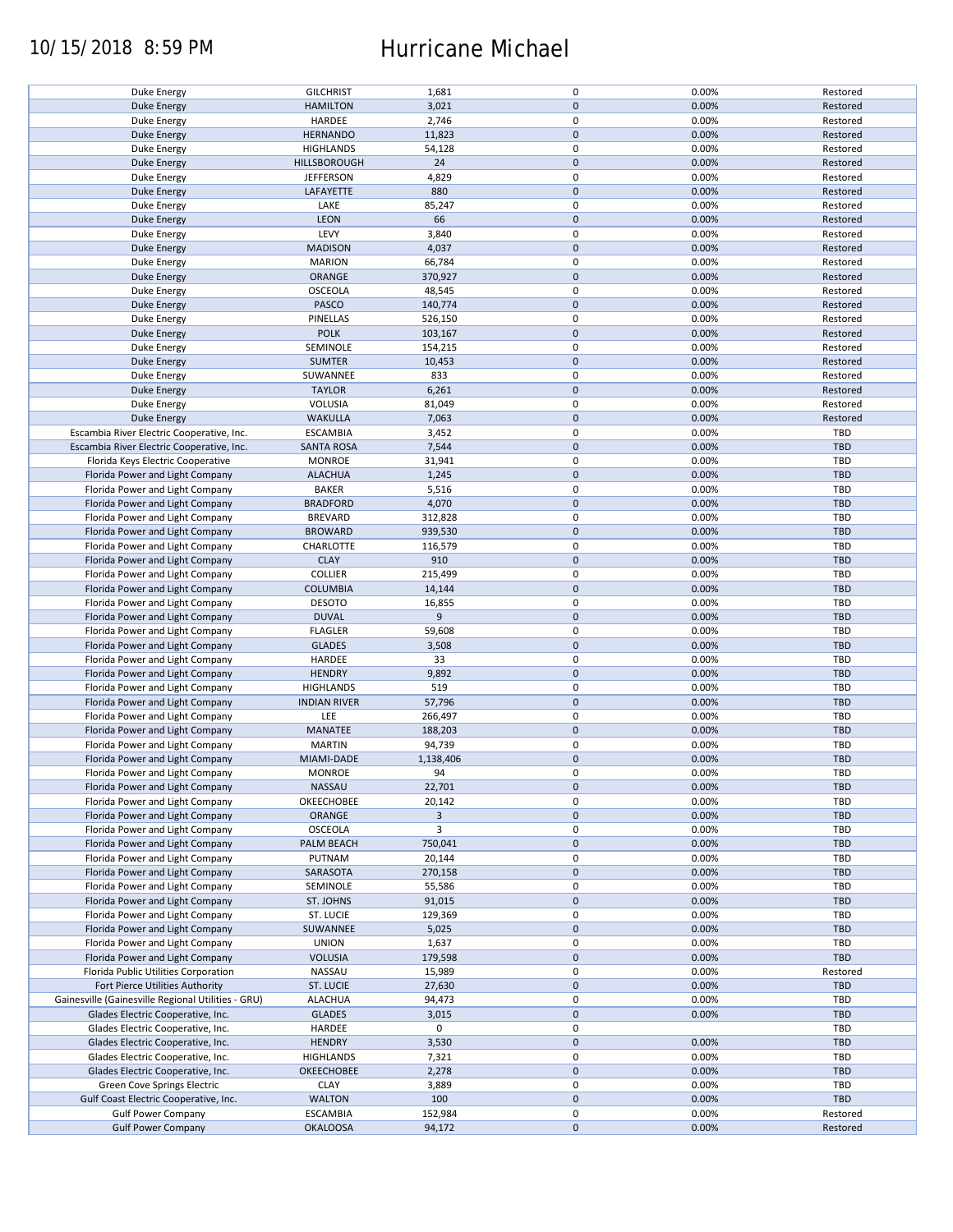## 10/15/2018 8:59 PM Hurricane Michael

| <b>Duke Energy</b>                                 | <b>GILCHRIST</b>    | 1,681          | $\pmb{0}$           | 0.00% | Restored   |
|----------------------------------------------------|---------------------|----------------|---------------------|-------|------------|
| <b>Duke Energy</b>                                 | <b>HAMILTON</b>     | 3,021          | $\mathbf 0$         | 0.00% | Restored   |
| <b>Duke Energy</b>                                 | HARDEE              | 2,746          | 0                   | 0.00% | Restored   |
|                                                    |                     |                |                     |       |            |
| Duke Energy                                        | <b>HERNANDO</b>     | 11,823         | $\mathbf 0$         | 0.00% | Restored   |
| Duke Energy                                        | <b>HIGHLANDS</b>    | 54,128         | $\pmb{0}$           | 0.00% | Restored   |
| <b>Duke Energy</b>                                 | HILLSBOROUGH        | 24             | $\mathbf 0$         | 0.00% | Restored   |
|                                                    |                     |                |                     |       |            |
| Duke Energy                                        | <b>JEFFERSON</b>    | 4,829          | $\pmb{0}$           | 0.00% | Restored   |
| <b>Duke Energy</b>                                 | LAFAYETTE           | 880            | $\mathbf 0$         | 0.00% | Restored   |
|                                                    |                     |                | $\pmb{0}$           |       |            |
| Duke Energy                                        | LAKE                | 85,247         |                     | 0.00% | Restored   |
| <b>Duke Energy</b>                                 | LEON                | 66             | $\pmb{0}$           | 0.00% | Restored   |
| Duke Energy                                        | LEVY                | 3,840          | $\pmb{0}$           | 0.00% | Restored   |
|                                                    |                     |                |                     |       |            |
| <b>Duke Energy</b>                                 | <b>MADISON</b>      | 4,037          | $\mathbf 0$         | 0.00% | Restored   |
| Duke Energy                                        | <b>MARION</b>       | 66,784         | $\pmb{0}$           | 0.00% | Restored   |
| <b>Duke Energy</b>                                 | <b>ORANGE</b>       | 370,927        | $\mathbf 0$         | 0.00% | Restored   |
|                                                    |                     |                |                     |       |            |
| Duke Energy                                        | OSCEOLA             | 48,545         | 0                   | 0.00% | Restored   |
| <b>Duke Energy</b>                                 | PASCO               | 140,774        | $\mathbf 0$         | 0.00% | Restored   |
| Duke Energy                                        | PINELLAS            | 526,150        | 0                   | 0.00% | Restored   |
|                                                    |                     |                |                     |       |            |
| <b>Duke Energy</b>                                 | <b>POLK</b>         | 103,167        | $\pmb{0}$           | 0.00% | Restored   |
| Duke Energy                                        | SEMINOLE            | 154,215        | 0                   | 0.00% | Restored   |
|                                                    |                     |                |                     |       |            |
| <b>Duke Energy</b>                                 | <b>SUMTER</b>       | 10,453         | $\pmb{0}$           | 0.00% | Restored   |
| Duke Energy                                        | SUWANNEE            | 833            | $\pmb{0}$           | 0.00% | Restored   |
| <b>Duke Energy</b>                                 | <b>TAYLOR</b>       | 6,261          | $\pmb{0}$           | 0.00% | Restored   |
|                                                    |                     |                |                     |       |            |
| Duke Energy                                        | VOLUSIA             | 81,049         | $\pmb{0}$           | 0.00% | Restored   |
| <b>Duke Energy</b>                                 | <b>WAKULLA</b>      | 7,063          | $\pmb{0}$           | 0.00% | Restored   |
|                                                    |                     |                | $\pmb{0}$           | 0.00% | <b>TBD</b> |
| Escambia River Electric Cooperative, Inc.          | <b>ESCAMBIA</b>     | 3,452          |                     |       |            |
| Escambia River Electric Cooperative, Inc.          | <b>SANTA ROSA</b>   | 7,544          | $\mathbf 0$         | 0.00% | <b>TBD</b> |
| Florida Keys Electric Cooperative                  | <b>MONROE</b>       | 31,941         | $\pmb{0}$           | 0.00% | <b>TBD</b> |
| Florida Power and Light Company                    |                     |                |                     |       |            |
|                                                    | <b>ALACHUA</b>      | 1,245          | $\pmb{0}$           | 0.00% | <b>TBD</b> |
| Florida Power and Light Company                    | <b>BAKER</b>        | 5,516          | $\pmb{0}$           | 0.00% | <b>TBD</b> |
| Florida Power and Light Company                    | <b>BRADFORD</b>     | 4,070          | $\pmb{0}$           | 0.00% | <b>TBD</b> |
|                                                    |                     |                |                     |       |            |
| Florida Power and Light Company                    | <b>BREVARD</b>      | 312,828        | $\pmb{0}$           | 0.00% | <b>TBD</b> |
| Florida Power and Light Company                    | <b>BROWARD</b>      | 939,530        | $\mathsf{O}\xspace$ | 0.00% | <b>TBD</b> |
| Florida Power and Light Company                    | CHARLOTTE           | 116,579        | $\pmb{0}$           | 0.00% | <b>TBD</b> |
|                                                    |                     |                |                     |       |            |
| Florida Power and Light Company                    | <b>CLAY</b>         | 910            | $\mathsf{O}\xspace$ | 0.00% | <b>TBD</b> |
| Florida Power and Light Company                    | <b>COLLIER</b>      | 215,499        | $\pmb{0}$           | 0.00% | TBD        |
|                                                    |                     |                |                     | 0.00% |            |
| Florida Power and Light Company                    | <b>COLUMBIA</b>     | 14,144         | $\mathsf{O}\xspace$ |       | <b>TBD</b> |
| Florida Power and Light Company                    | <b>DESOTO</b>       | 16,855         | 0                   | 0.00% | <b>TBD</b> |
| Florida Power and Light Company                    | <b>DUVAL</b>        | 9              | $\mathbf 0$         | 0.00% | <b>TBD</b> |
|                                                    |                     |                |                     |       |            |
| Florida Power and Light Company                    | <b>FLAGLER</b>      | 59,608         | 0                   | 0.00% | TBD        |
| Florida Power and Light Company                    | <b>GLADES</b>       | 3,508          | $\pmb{0}$           | 0.00% | <b>TBD</b> |
| Florida Power and Light Company                    | HARDEE              | 33             | 0                   | 0.00% | <b>TBD</b> |
|                                                    |                     |                |                     |       |            |
| Florida Power and Light Company                    | <b>HENDRY</b>       | 9,892          | $\mathbf 0$         | 0.00% | <b>TBD</b> |
| Florida Power and Light Company                    | <b>HIGHLANDS</b>    | 519            | 0                   | 0.00% | <b>TBD</b> |
| Florida Power and Light Company                    | <b>INDIAN RIVER</b> | 57,796         | $\mathbf 0$         | 0.00% | <b>TBD</b> |
|                                                    |                     |                |                     |       |            |
| Florida Power and Light Company                    | LEE                 | 266,497        | $\pmb{0}$           | 0.00% | TBD        |
| Florida Power and Light Company                    | MANATEE             | 188,203        | $\mathbf 0$         | 0.00% | <b>TBD</b> |
|                                                    | <b>MARTIN</b>       |                | $\pmb{0}$           | 0.00% |            |
| Florida Power and Light Company                    |                     | 94,739         |                     |       | <b>TBD</b> |
| Florida Power and Light Company                    | MIAMI-DADE          | 1,138,406      | $\pmb{0}$           | 0.00% | <b>TBD</b> |
| Florida Power and Light Company                    | <b>MONROE</b>       | 94             | $\mathbf 0$         | 0.00% | <b>TBD</b> |
|                                                    |                     |                |                     |       |            |
| Florida Power and Light Company                    | NASSAU              | 22,701         | $\mathbf 0$         | 0.00% | <b>TBD</b> |
| Florida Power and Light Company                    | OKEECHOBEE          | 20,142         | 0                   | 0.00% | <b>TBD</b> |
| Florida Power and Light Company                    | ORANGE              | $\overline{3}$ | $\mathsf{O}\xspace$ | 0.00% | <b>TBD</b> |
|                                                    |                     |                |                     |       |            |
| Florida Power and Light Company                    | OSCEOLA             | 3              | 0                   | 0.00% | <b>TBD</b> |
| Florida Power and Light Company                    | PALM BEACH          | 750,041        | $\pmb{0}$           | 0.00% | <b>TBD</b> |
| Florida Power and Light Company                    | PUTNAM              | 20,144         | 0                   | 0.00% | <b>TBD</b> |
|                                                    |                     |                |                     |       |            |
| Florida Power and Light Company                    | SARASOTA            | 270,158        | $\mathbf 0$         | 0.00% | <b>TBD</b> |
| Florida Power and Light Company                    | SEMINOLE            | 55,586         | 0                   | 0.00% | <b>TBD</b> |
| Florida Power and Light Company                    | ST. JOHNS           | 91,015         | $\mathsf{O}\xspace$ | 0.00% | <b>TBD</b> |
|                                                    |                     |                |                     |       |            |
| Florida Power and Light Company                    | ST. LUCIE           | 129,369        | 0                   | 0.00% | <b>TBD</b> |
| Florida Power and Light Company                    | SUWANNEE            | 5,025          | $\mathbf 0$         | 0.00% | <b>TBD</b> |
|                                                    |                     |                |                     |       |            |
| Florida Power and Light Company                    | <b>UNION</b>        | 1,637          | 0                   | 0.00% | <b>TBD</b> |
| Florida Power and Light Company                    | <b>VOLUSIA</b>      | 179,598        | $\mathsf{O}\xspace$ | 0.00% | <b>TBD</b> |
| Florida Public Utilities Corporation               | NASSAU              | 15,989         | 0                   | 0.00% | Restored   |
|                                                    |                     |                |                     |       |            |
| Fort Pierce Utilities Authority                    | ST. LUCIE           | 27,630         | $\pmb{0}$           | 0.00% | <b>TBD</b> |
| Gainesville (Gainesville Regional Utilities - GRU) | <b>ALACHUA</b>      | 94,473         | 0                   | 0.00% | <b>TBD</b> |
| Glades Electric Cooperative, Inc.                  | <b>GLADES</b>       | 3,015          | $\mathbf 0$         | 0.00% | <b>TBD</b> |
|                                                    |                     |                |                     |       |            |
| Glades Electric Cooperative, Inc.                  | HARDEE              | 0              | 0                   |       | <b>TBD</b> |
| Glades Electric Cooperative, Inc.                  | <b>HENDRY</b>       | 3,530          | $\mathbf 0$         | 0.00% | <b>TBD</b> |
|                                                    |                     |                |                     |       |            |
| Glades Electric Cooperative, Inc.                  | HIGHLANDS           | 7,321          | $\pmb{0}$           | 0.00% | <b>TBD</b> |
| Glades Electric Cooperative, Inc.                  | OKEECHOBEE          | 2,278          | $\pmb{0}$           | 0.00% | <b>TBD</b> |
| Green Cove Springs Electric                        | <b>CLAY</b>         | 3,889          | $\pmb{0}$           | 0.00% | <b>TBD</b> |
|                                                    |                     |                |                     |       |            |
| Gulf Coast Electric Cooperative, Inc.              | <b>WALTON</b>       | 100            | $\mathbf 0$         | 0.00% | <b>TBD</b> |
| <b>Gulf Power Company</b>                          | <b>ESCAMBIA</b>     | 152,984        | $\pmb{0}$           | 0.00% | Restored   |
| <b>Gulf Power Company</b>                          | <b>OKALOOSA</b>     | 94,172         | $\pmb{0}$           | 0.00% | Restored   |
|                                                    |                     |                |                     |       |            |